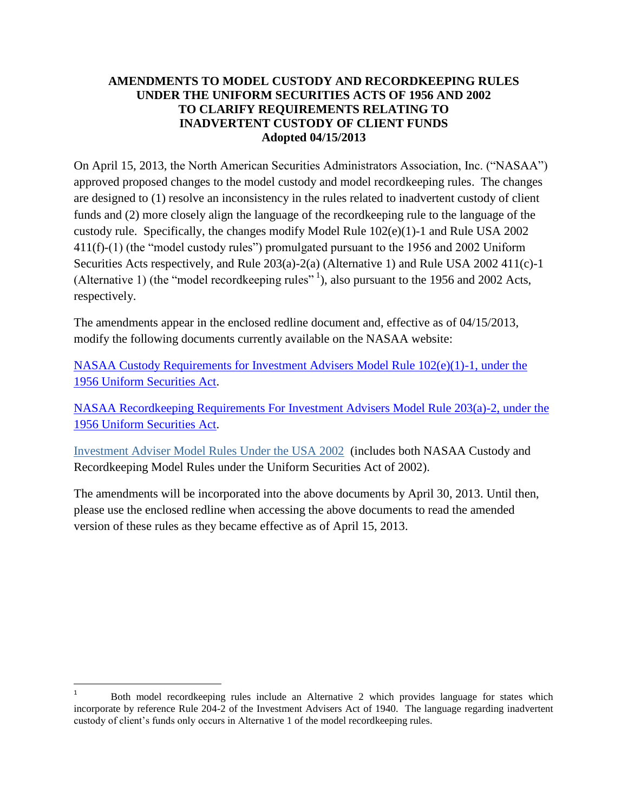## **AMENDMENTS TO MODEL CUSTODY AND RECORDKEEPING RULES UNDER THE UNIFORM SECURITIES ACTS OF 1956 AND 2002 TO CLARIFY REQUIREMENTS RELATING TO INADVERTENT CUSTODY OF CLIENT FUNDS Adopted 04/15/2013**

On April 15, 2013, the North American Securities Administrators Association, Inc. ("NASAA") approved proposed changes to the model custody and model recordkeeping rules. The changes are designed to (1) resolve an inconsistency in the rules related to inadvertent custody of client funds and (2) more closely align the language of the recordkeeping rule to the language of the custody rule. Specifically, the changes modify Model Rule 102(e)(1)-1 and Rule USA 2002 411(f)-(1) (the "model custody rules") promulgated pursuant to the 1956 and 2002 Uniform Securities Acts respectively, and Rule 203(a)-2(a) (Alternative 1) and Rule USA 2002 411(c)-1 (Alternative 1) (the "model record keeping rules"<sup>1</sup>), also pursuant to the 1956 and 2002 Acts, respectively.

The amendments appear in the enclosed redline document and, effective as of 04/15/2013, modify the following documents currently available on the NASAA website:

[NASAA Custody Requirements for Investment Advisers Model Rule 102\(e\)\(1\)-1, under the](http://www.nasaa.org/wp-content/uploads/2011/07/IA-Model-Rule-Custody.pdf)  [1956 Uniform Securities Act.](http://www.nasaa.org/wp-content/uploads/2011/07/IA-Model-Rule-Custody.pdf)

[NASAA Recordkeeping Requirements For Investment Advisers Model Rule 203\(a\)-2, under the](http://www.nasaa.org/wp-content/uploads/2011/07/IA-Model-Rule-Recordkeeping.pdf)  [1956 Uniform Securities Act.](http://www.nasaa.org/wp-content/uploads/2011/07/IA-Model-Rule-Recordkeeping.pdf)

[Investment Adviser Model Rules Under the USA 2002](http://www.nasaa.org/wp-content/uploads/2011/07/IA-Model-Rule-Definition-Under-2002-Act.pdf) (includes both NASAA Custody and Recordkeeping Model Rules under the Uniform Securities Act of 2002).

The amendments will be incorporated into the above documents by April 30, 2013. Until then, please use the enclosed redline when accessing the above documents to read the amended version of these rules as they became effective as of April 15, 2013.

 $\overline{a}$ 

<sup>1</sup> Both model recordkeeping rules include an Alternative 2 which provides language for states which incorporate by reference Rule 204-2 of the Investment Advisers Act of 1940. The language regarding inadvertent custody of client's funds only occurs in Alternative 1 of the model recordkeeping rules.